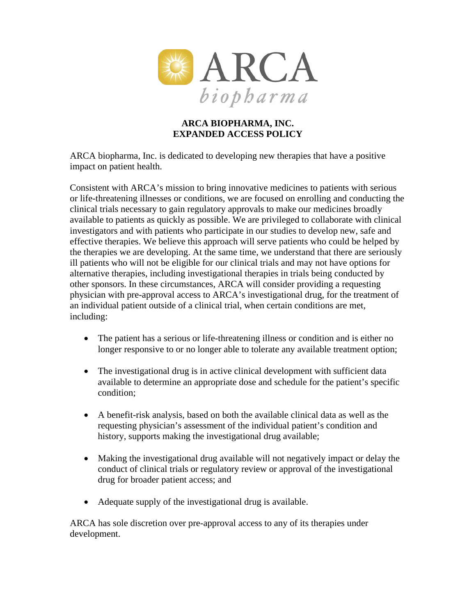

## **ARCA BIOPHARMA, INC. EXPANDED ACCESS POLICY**

ARCA biopharma, Inc. is dedicated to developing new therapies that have a positive impact on patient health.

Consistent with ARCA's mission to bring innovative medicines to patients with serious or life-threatening illnesses or conditions, we are focused on enrolling and conducting the clinical trials necessary to gain regulatory approvals to make our medicines broadly available to patients as quickly as possible. We are privileged to collaborate with clinical investigators and with patients who participate in our studies to develop new, safe and effective therapies. We believe this approach will serve patients who could be helped by the therapies we are developing. At the same time, we understand that there are seriously ill patients who will not be eligible for our clinical trials and may not have options for alternative therapies, including investigational therapies in trials being conducted by other sponsors. In these circumstances, ARCA will consider providing a requesting physician with pre-approval access to ARCA's investigational drug, for the treatment of an individual patient outside of a clinical trial, when certain conditions are met, including:

- The patient has a serious or life-threatening illness or condition and is either no longer responsive to or no longer able to tolerate any available treatment option;
- The investigational drug is in active clinical development with sufficient data available to determine an appropriate dose and schedule for the patient's specific condition;
- A benefit-risk analysis, based on both the available clinical data as well as the requesting physician's assessment of the individual patient's condition and history, supports making the investigational drug available;
- Making the investigational drug available will not negatively impact or delay the conduct of clinical trials or regulatory review or approval of the investigational drug for broader patient access; and
- Adequate supply of the investigational drug is available.

ARCA has sole discretion over pre-approval access to any of its therapies under development.